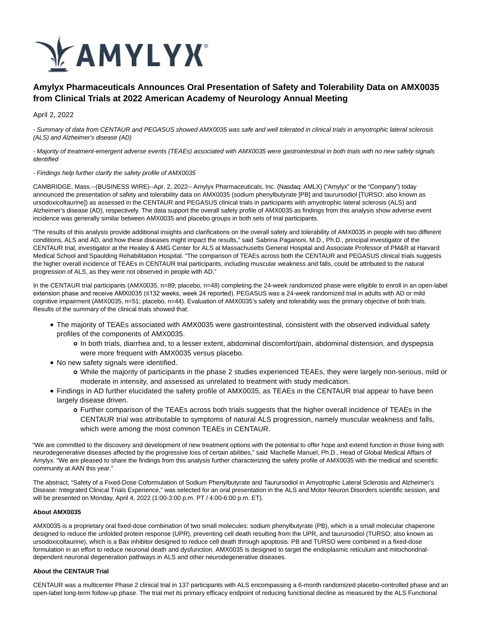

# **Amylyx Pharmaceuticals Announces Oral Presentation of Safety and Tolerability Data on AMX0035 from Clinical Trials at 2022 American Academy of Neurology Annual Meeting**

April 2, 2022

- Summary of data from CENTAUR and PEGASUS showed AMX0035 was safe and well tolerated in clinical trials in amyotrophic lateral sclerosis (ALS) and Alzheimer's disease (AD)

- Majority of treatment-emergent adverse events (TEAEs) associated with AMX0035 were gastrointestinal in both trials with no new safety signals identified

# - Findings help further clarify the safety profile of AMX0035

CAMBRIDGE, Mass.--(BUSINESS WIRE)--Apr. 2, 2022-- Amylyx Pharmaceuticals, Inc. (Nasdaq: AMLX) ("Amylyx" or the "Company") today announced the presentation of safety and tolerability data on AMX0035 (sodium phenylbutyrate [PB] and taurursodiol [TURSO; also known as ursodoxicoltaurine]) as assessed in the CENTAUR and PEGASUS clinical trials in participants with amyotrophic lateral sclerosis (ALS) and Alzheimer's disease (AD), respectively. The data support the overall safety profile of AMX0035 as findings from this analysis show adverse event incidence was generally similar between AMX0035 and placebo groups in both sets of trial participants.

"The results of this analysis provide additional insights and clarifications on the overall safety and tolerability of AMX0035 in people with two different conditions, ALS and AD, and how these diseases might impact the results," said Sabrina Paganoni, M.D., Ph.D., principal investigator of the CENTAUR trial, investigator at the Healey & AMG Center for ALS at Massachusetts General Hospital and Associate Professor of PM&R at Harvard Medical School and Spaulding Rehabilitation Hospital. "The comparison of TEAEs across both the CENTAUR and PEGASUS clinical trials suggests the higher overall incidence of TEAEs in CENTAUR trial participants, including muscular weakness and falls, could be attributed to the natural progression of ALS, as they were not observed in people with AD."

In the CENTAUR trial participants (AMX0035, n=89; placebo, n=48) completing the 24-week randomized phase were eligible to enroll in an open-label extension phase and receive AMX0035 (≤132 weeks, week 24 reported). PEGASUS was a 24-week randomized trial in adults with AD or mild cognitive impairment (AMX0035, n=51; placebo, n=44). Evaluation of AMX0035's safety and tolerability was the primary objective of both trials. Results of the summary of the clinical trials showed that:

- The majority of TEAEs associated with AMX0035 were gastrointestinal, consistent with the observed individual safety profiles of the components of AMX0035.
	- In both trials, diarrhea and, to a lesser extent, abdominal discomfort/pain, abdominal distension, and dyspepsia were more frequent with AMX0035 versus placebo.
- No new safety signals were identified.
	- While the majority of participants in the phase 2 studies experienced TEAEs, they were largely non-serious, mild or moderate in intensity, and assessed as unrelated to treatment with study medication.
- Findings in AD further elucidated the safety profile of AMX0035, as TEAEs in the CENTAUR trial appear to have been largely disease driven.
	- Further comparison of the TEAEs across both trials suggests that the higher overall incidence of TEAEs in the CENTAUR trial was attributable to symptoms of natural ALS progression, namely muscular weakness and falls, which were among the most common TEAEs in CENTAUR.

"We are committed to the discovery and development of new treatment options with the potential to offer hope and extend function in those living with neurodegenerative diseases affected by the progressive loss of certain abilities," said Machelle Manuel, Ph.D., Head of Global Medical Affairs of Amylyx. "We are pleased to share the findings from this analysis further characterizing the safety profile of AMX0035 with the medical and scientific community at AAN this year."

The abstract, "Safety of a Fixed-Dose Coformulation of Sodium Phenylbutyrate and Taurursodiol in Amyotrophic Lateral Sclerosis and Alzheimer's Disease: Integrated Clinical Trials Experience," was selected for an oral presentation in the ALS and Motor Neuron Disorders scientific session, and will be presented on Monday, April 4, 2022 (1:00-3:00 p.m. PT / 4:00-6:00 p.m. ET).

# **About AMX0035**

AMX0035 is a proprietary oral fixed-dose combination of two small molecules: sodium phenylbutyrate (PB), which is a small molecular chaperone designed to reduce the unfolded protein response (UPR), preventing cell death resulting from the UPR, and taurursodiol (TURSO; also known as ursodoxicoltaurine), which is a Bax inhibitor designed to reduce cell death through apoptosis. PB and TURSO were combined in a fixed-dose formulation in an effort to reduce neuronal death and dysfunction. AMX0035 is designed to target the endoplasmic reticulum and mitochondrialdependent neuronal degeneration pathways in ALS and other neurodegenerative diseases.

# **About the CENTAUR Trial**

CENTAUR was a multicenter Phase 2 clinical trial in 137 participants with ALS encompassing a 6-month randomized placebo-controlled phase and an open-label long-term follow-up phase. The trial met its primary efficacy endpoint of reducing functional decline as measured by the ALS Functional